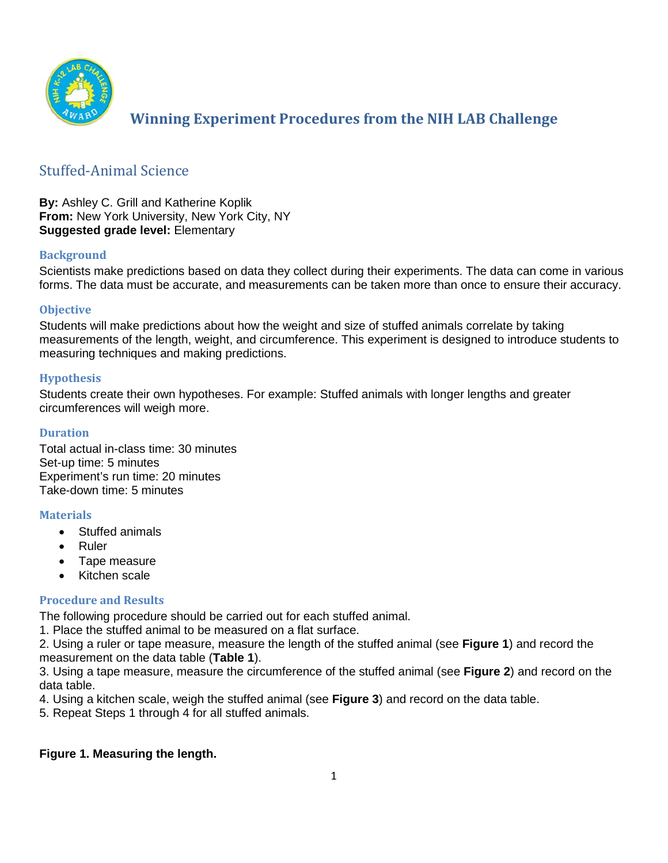

# **Winning Experiment Procedures from the NIH LAB Challenge**

## Stuffed-Animal Science

**By:** Ashley C. Grill and Katherine Koplik **From:** New York University, New York City, NY **Suggested grade level:** Elementary

#### **Background**

Scientists make predictions based on data they collect during their experiments. The data can come in various forms. The data must be accurate, and measurements can be taken more than once to ensure their accuracy.

#### **Objective**

Students will make predictions about how the weight and size of stuffed animals correlate by taking measurements of the length, weight, and circumference. This experiment is designed to introduce students to measuring techniques and making predictions.

#### **Hypothesis**

Students create their own hypotheses. For example: Stuffed animals with longer lengths and greater circumferences will weigh more.

#### **Duration**

Total actual in-class time: 30 minutes Set-up time: 5 minutes Experiment's run time: 20 minutes Take-down time: 5 minutes

#### **Materials**

- Stuffed animals
- Ruler
- Tape measure
- Kitchen scale

#### **Procedure and Results**

The following procedure should be carried out for each stuffed animal.

1. Place the stuffed animal to be measured on a flat surface.

2. Using a ruler or tape measure, measure the length of the stuffed animal (see **Figure 1**) and record the measurement on the data table (**Table 1**).

3. Using a tape measure, measure the circumference of the stuffed animal (see **Figure 2**) and record on the data table.

4. Using a kitchen scale, weigh the stuffed animal (see **Figure 3**) and record on the data table.

5. Repeat Steps 1 through 4 for all stuffed animals.

#### **Figure 1. Measuring the length.**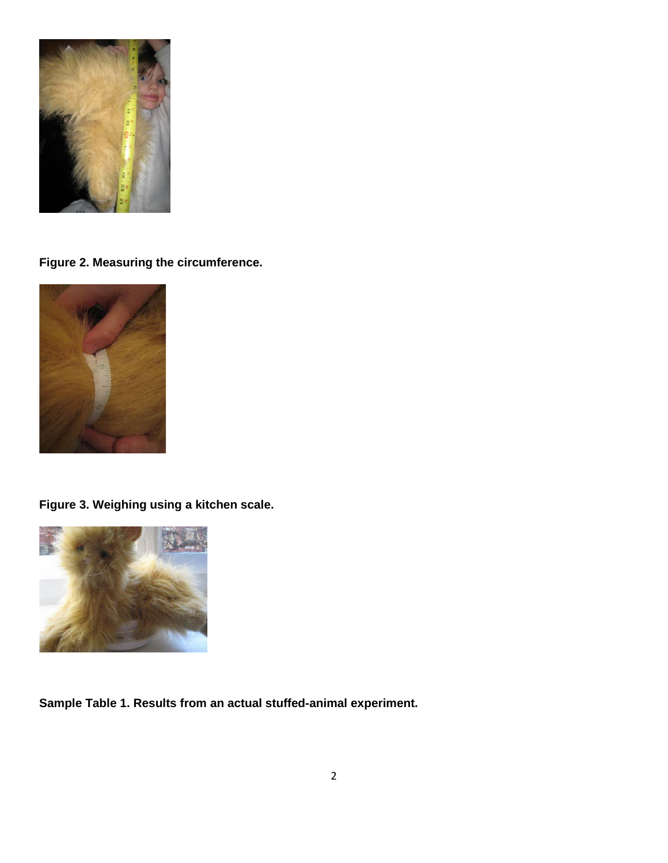

**Figure 2. Measuring the circumference.**



**Figure 3. Weighing using a kitchen scale.**



**Sample Table 1. Results from an actual stuffed-animal experiment.**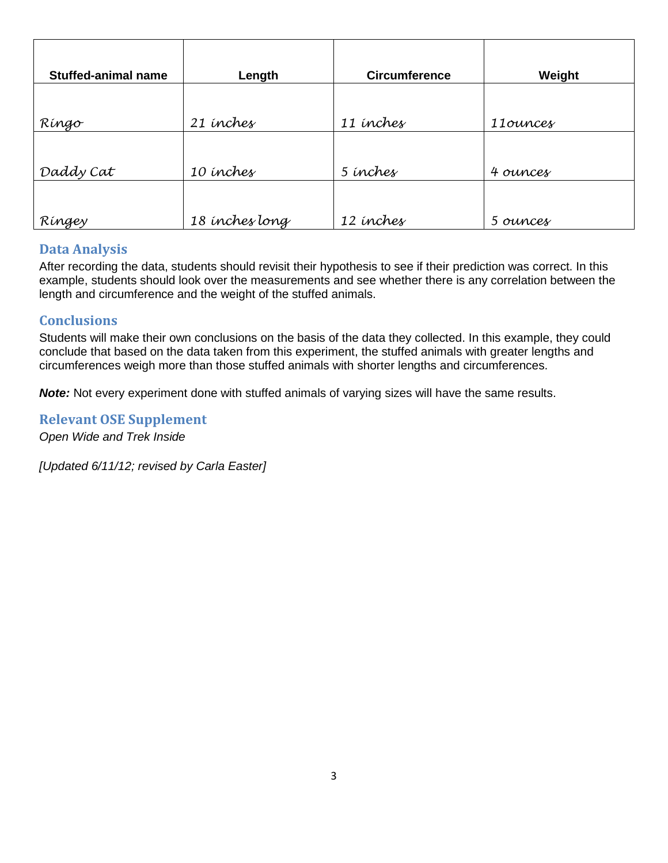| <b>Stuffed-animal name</b> | Length         | <b>Circumference</b> | Weight   |
|----------------------------|----------------|----------------------|----------|
|                            |                |                      |          |
| Ríngo                      | 21 inches      | 11 inches            | 11ounces |
|                            |                |                      |          |
| Daddy Cat                  | 10 inches      | 5 inches             | 4 ounces |
|                            |                |                      |          |
| Ríngey                     | 18 inches long | 12 inches            | 5 ounces |

## **Data Analysis**

After recording the data, students should revisit their hypothesis to see if their prediction was correct. In this example, students should look over the measurements and see whether there is any correlation between the length and circumference and the weight of the stuffed animals.

## **Conclusions**

Students will make their own conclusions on the basis of the data they collected. In this example, they could conclude that based on the data taken from this experiment, the stuffed animals with greater lengths and circumferences weigh more than those stuffed animals with shorter lengths and circumferences.

*Note:* Not every experiment done with stuffed animals of varying sizes will have the same results.

**Relevant OSE Supplement**

*Open Wide and Trek Inside*

*[Updated 6/11/12; revised by Carla Easter]*